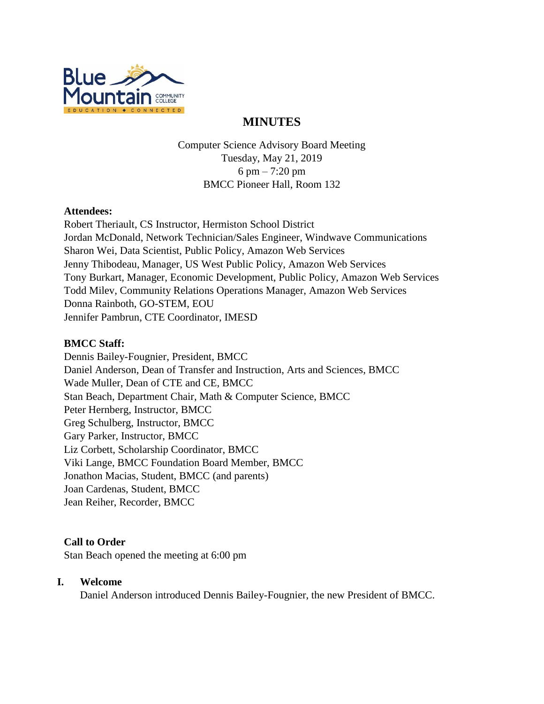

# **MINUTES**

Computer Science Advisory Board Meeting Tuesday, May 21, 2019 6 pm – 7:20 pm BMCC Pioneer Hall, Room 132

#### **Attendees:**

Robert Theriault, CS Instructor, Hermiston School District Jordan McDonald, Network Technician/Sales Engineer, Windwave Communications Sharon Wei, Data Scientist, Public Policy, Amazon Web Services Jenny Thibodeau, Manager, US West Public Policy, Amazon Web Services Tony Burkart, Manager, Economic Development, Public Policy, Amazon Web Services Todd Milev, Community Relations Operations Manager, Amazon Web Services Donna Rainboth, GO-STEM, EOU Jennifer Pambrun, CTE Coordinator, IMESD

## **BMCC Staff:**

Dennis Bailey-Fougnier, President, BMCC Daniel Anderson, Dean of Transfer and Instruction, Arts and Sciences, BMCC Wade Muller, Dean of CTE and CE, BMCC Stan Beach, Department Chair, Math & Computer Science, BMCC Peter Hernberg, Instructor, BMCC Greg Schulberg, Instructor, BMCC Gary Parker, Instructor, BMCC Liz Corbett, Scholarship Coordinator, BMCC Viki Lange, BMCC Foundation Board Member, BMCC Jonathon Macias, Student, BMCC (and parents) Joan Cardenas, Student, BMCC Jean Reiher, Recorder, BMCC

## **Call to Order**

Stan Beach opened the meeting at 6:00 pm

## **I. Welcome**

Daniel Anderson introduced Dennis Bailey-Fougnier, the new President of BMCC.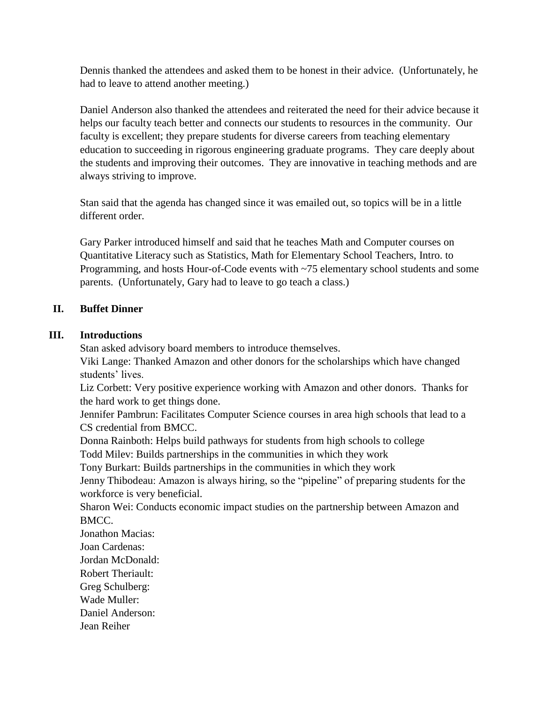Dennis thanked the attendees and asked them to be honest in their advice. (Unfortunately, he had to leave to attend another meeting.)

Daniel Anderson also thanked the attendees and reiterated the need for their advice because it helps our faculty teach better and connects our students to resources in the community. Our faculty is excellent; they prepare students for diverse careers from teaching elementary education to succeeding in rigorous engineering graduate programs. They care deeply about the students and improving their outcomes. They are innovative in teaching methods and are always striving to improve.

Stan said that the agenda has changed since it was emailed out, so topics will be in a little different order.

Gary Parker introduced himself and said that he teaches Math and Computer courses on Quantitative Literacy such as Statistics, Math for Elementary School Teachers, Intro. to Programming, and hosts Hour-of-Code events with ~75 elementary school students and some parents. (Unfortunately, Gary had to leave to go teach a class.)

## **II. Buffet Dinner**

## **III. Introductions**

Stan asked advisory board members to introduce themselves.

Viki Lange: Thanked Amazon and other donors for the scholarships which have changed students' lives.

Liz Corbett: Very positive experience working with Amazon and other donors. Thanks for the hard work to get things done.

Jennifer Pambrun: Facilitates Computer Science courses in area high schools that lead to a CS credential from BMCC.

Donna Rainboth: Helps build pathways for students from high schools to college

Todd Milev: Builds partnerships in the communities in which they work

Tony Burkart: Builds partnerships in the communities in which they work

Jenny Thibodeau: Amazon is always hiring, so the "pipeline" of preparing students for the workforce is very beneficial.

Sharon Wei: Conducts economic impact studies on the partnership between Amazon and BMCC.

Jonathon Macias:

Joan Cardenas:

Jordan McDonald:

- Robert Theriault:
- Greg Schulberg:
- Wade Muller:

Daniel Anderson:

Jean Reiher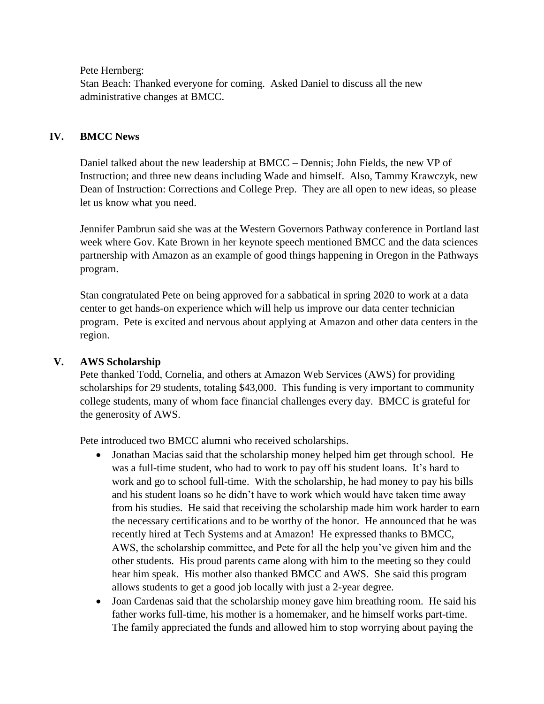Pete Hernberg:

Stan Beach: Thanked everyone for coming. Asked Daniel to discuss all the new administrative changes at BMCC.

## **IV. BMCC News**

Daniel talked about the new leadership at BMCC – Dennis; John Fields, the new VP of Instruction; and three new deans including Wade and himself. Also, Tammy Krawczyk, new Dean of Instruction: Corrections and College Prep. They are all open to new ideas, so please let us know what you need.

Jennifer Pambrun said she was at the Western Governors Pathway conference in Portland last week where Gov. Kate Brown in her keynote speech mentioned BMCC and the data sciences partnership with Amazon as an example of good things happening in Oregon in the Pathways program.

Stan congratulated Pete on being approved for a sabbatical in spring 2020 to work at a data center to get hands-on experience which will help us improve our data center technician program. Pete is excited and nervous about applying at Amazon and other data centers in the region.

## **V. AWS Scholarship**

Pete thanked Todd, Cornelia, and others at Amazon Web Services (AWS) for providing scholarships for 29 students, totaling \$43,000. This funding is very important to community college students, many of whom face financial challenges every day. BMCC is grateful for the generosity of AWS.

Pete introduced two BMCC alumni who received scholarships.

- Jonathan Macias said that the scholarship money helped him get through school. He was a full-time student, who had to work to pay off his student loans. It's hard to work and go to school full-time. With the scholarship, he had money to pay his bills and his student loans so he didn't have to work which would have taken time away from his studies. He said that receiving the scholarship made him work harder to earn the necessary certifications and to be worthy of the honor. He announced that he was recently hired at Tech Systems and at Amazon! He expressed thanks to BMCC, AWS, the scholarship committee, and Pete for all the help you've given him and the other students. His proud parents came along with him to the meeting so they could hear him speak. His mother also thanked BMCC and AWS. She said this program allows students to get a good job locally with just a 2-year degree.
- Joan Cardenas said that the scholarship money gave him breathing room. He said his father works full-time, his mother is a homemaker, and he himself works part-time. The family appreciated the funds and allowed him to stop worrying about paying the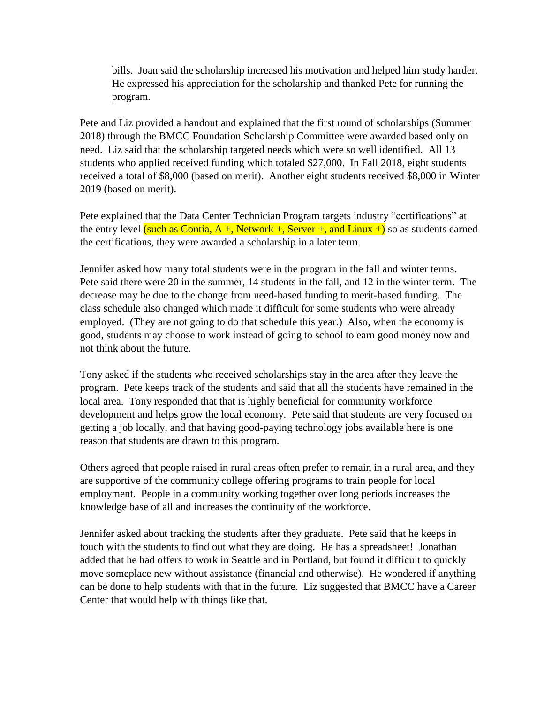bills. Joan said the scholarship increased his motivation and helped him study harder. He expressed his appreciation for the scholarship and thanked Pete for running the program.

Pete and Liz provided a handout and explained that the first round of scholarships (Summer 2018) through the BMCC Foundation Scholarship Committee were awarded based only on need. Liz said that the scholarship targeted needs which were so well identified. All 13 students who applied received funding which totaled \$27,000. In Fall 2018, eight students received a total of \$8,000 (based on merit). Another eight students received \$8,000 in Winter 2019 (based on merit).

Pete explained that the Data Center Technician Program targets industry "certifications" at the entry level (such as Contia,  $A +$ , Network +, Server +, and Linux +) so as students earned the certifications, they were awarded a scholarship in a later term.

Jennifer asked how many total students were in the program in the fall and winter terms. Pete said there were 20 in the summer, 14 students in the fall, and 12 in the winter term. The decrease may be due to the change from need-based funding to merit-based funding. The class schedule also changed which made it difficult for some students who were already employed. (They are not going to do that schedule this year.) Also, when the economy is good, students may choose to work instead of going to school to earn good money now and not think about the future.

Tony asked if the students who received scholarships stay in the area after they leave the program. Pete keeps track of the students and said that all the students have remained in the local area. Tony responded that that is highly beneficial for community workforce development and helps grow the local economy. Pete said that students are very focused on getting a job locally, and that having good-paying technology jobs available here is one reason that students are drawn to this program.

Others agreed that people raised in rural areas often prefer to remain in a rural area, and they are supportive of the community college offering programs to train people for local employment. People in a community working together over long periods increases the knowledge base of all and increases the continuity of the workforce.

Jennifer asked about tracking the students after they graduate. Pete said that he keeps in touch with the students to find out what they are doing. He has a spreadsheet! Jonathan added that he had offers to work in Seattle and in Portland, but found it difficult to quickly move someplace new without assistance (financial and otherwise). He wondered if anything can be done to help students with that in the future. Liz suggested that BMCC have a Career Center that would help with things like that.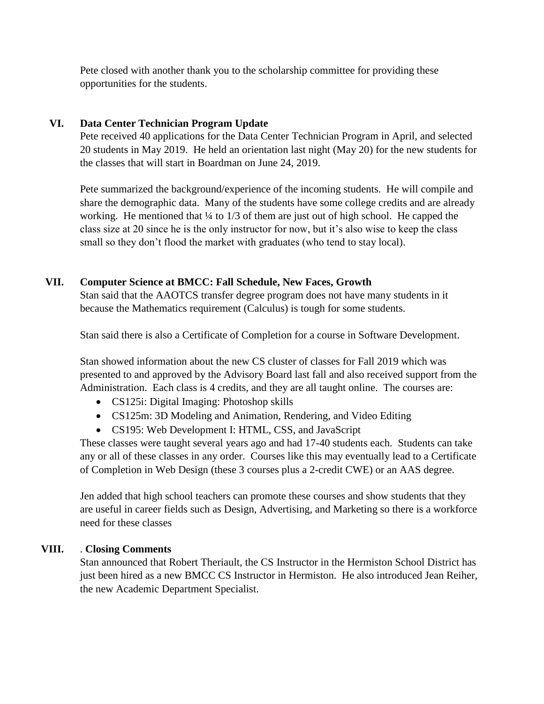Pete closed with another thank you to the scholarship committee for providing these opportunities for the students.

## **VI. Data Center Technician Program Update**

Pete received 40 applications for the Data Center Technician Program in April, and selected 20 students in May 2019. He held an orientation last night (May 20) for the new students for the classes that will start in Boardman on June 24, 2019.

Pete summarized the background/experience of the incoming students. He will compile and share the demographic data. Many of the students have some college credits and are already working. He mentioned that  $\frac{1}{4}$  to 1/3 of them are just out of high school. He capped the class size at 20 since he is the only instructor for now, but it's also wise to keep the class small so they don't flood the market with graduates (who tend to stay local).

## **VII. Computer Science at BMCC: Fall Schedule, New Faces, Growth**

Stan said that the AAOTCS transfer degree program does not have many students in it because the Mathematics requirement (Calculus) is tough for some students.

Stan said there is also a Certificate of Completion for a course in Software Development.

Stan showed information about the new CS cluster of classes for Fall 2019 which was presented to and approved by the Advisory Board last fall and also received support from the Administration. Each class is 4 credits, and they are all taught online. The courses are:

- CS125i: Digital Imaging: Photoshop skills
- CS125m: 3D Modeling and Animation, Rendering, and Video Editing
- CS195: Web Development I: HTML, CSS, and JavaScript

These classes were taught several years ago and had 17-40 students each. Students can take any or all of these classes in any order. Courses like this may eventually lead to a Certificate of Completion in Web Design (these 3 courses plus a 2-credit CWE) or an AAS degree.

Jen added that high school teachers can promote these courses and show students that they are useful in career fields such as Design, Advertising, and Marketing so there is a workforce need for these classes

## **VIII.** . **Closing Comments**

Stan announced that Robert Theriault, the CS Instructor in the Hermiston School District has just been hired as a new BMCC CS Instructor in Hermiston. He also introduced Jean Reiher, the new Academic Department Specialist.